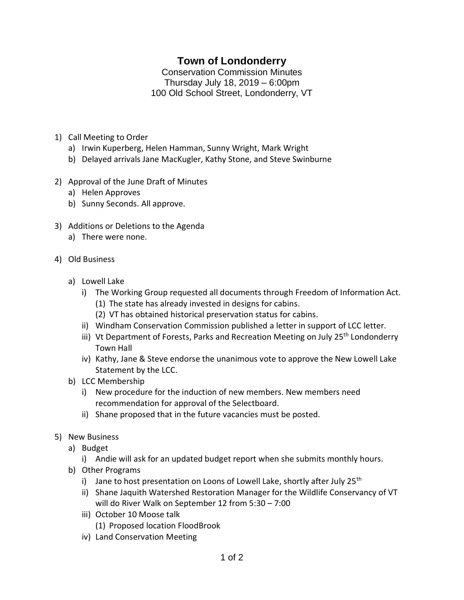## **Town of Londonderry**

Conservation Commission Minutes Thursday July 18, 2019 – 6:00pm 100 Old School Street, Londonderry, VT

- 1) Call Meeting to Order
	- a) Irwin Kuperberg, Helen Hamman, Sunny Wright, Mark Wright
	- b) Delayed arrivals Jane MacKugler, Kathy Stone, and Steve Swinburne
- 2) Approval of the June Draft of Minutes
	- a) Helen Approves
	- b) Sunny Seconds. All approve.
- 3) Additions or Deletions to the Agenda
	- a) There were none.
- 4) Old Business
	- a) Lowell Lake
		- i) The Working Group requested all documents through Freedom of Information Act. (1) The state has already invested in designs for cabins.
			- (2) VT has obtained historical preservation status for cabins.
		- ii) Windham Conservation Commission published a letter in support of LCC letter.
		- iii) Vt Department of Forests, Parks and Recreation Meeting on July 25<sup>th</sup> Londonderry Town Hall
		- iv) Kathy, Jane & Steve endorse the unanimous vote to approve the New Lowell Lake Statement by the LCC.
	- b) LCC Membership
		- i) New procedure for the induction of new members. New members need recommendation for approval of the Selectboard.
		- ii) Shane proposed that in the future vacancies must be posted.
- 5) New Business
	- a) Budget
		- i) Andie will ask for an updated budget report when she submits monthly hours.
	- b) Other Programs
		- i) Jane to host presentation on Loons of Lowell Lake, shortly after July 25<sup>th</sup>
		- ii) Shane Jaquith Watershed Restoration Manager for the Wildlife Conservancy of VT will do River Walk on September 12 from 5:30 – 7:00
		- iii) October 10 Moose talk (1) Proposed location FloodBrook
		- iv) Land Conservation Meeting